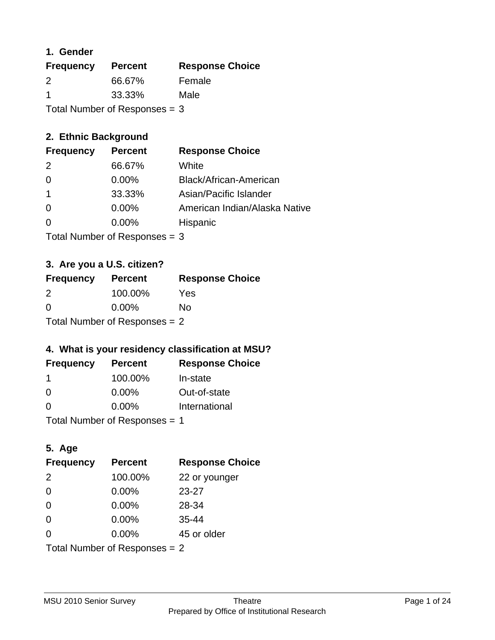### **1. Gender**

| <b>Frequency</b> | <b>Percent</b>                  | <b>Response Choice</b> |
|------------------|---------------------------------|------------------------|
| 2                | 66.67%                          | Female                 |
| -1               | 33.33%                          | Male                   |
|                  | Total Number of Responses $=$ 3 |                        |

### **2. Ethnic Background**

| <b>Frequency</b> | <b>Percent</b> | <b>Response Choice</b>        |
|------------------|----------------|-------------------------------|
| $\mathcal{P}$    | 66.67%         | White                         |
| $\Omega$         | $0.00\%$       | Black/African-American        |
|                  | 33.33%         | Asian/Pacific Islander        |
| $\Omega$         | 0.00%          | American Indian/Alaska Native |
|                  | $0.00\%$       | Hispanic                      |
|                  |                |                               |

Total Number of Responses = 3

## **3. Are you a U.S. citizen?**

| <b>Frequency</b> | <b>Percent</b>                  | <b>Response Choice</b> |
|------------------|---------------------------------|------------------------|
| $\mathcal{P}$    | 100.00%                         | Yes                    |
| $\Omega$         | $0.00\%$                        | Nο                     |
|                  | Total Number of Responses $= 2$ |                        |

### **4. What is your residency classification at MSU?**

| <b>Frequency</b> | <b>Percent</b> | <b>Response Choice</b> |
|------------------|----------------|------------------------|
| -1               | 100.00%        | In-state               |
| $\Omega$         | $0.00\%$       | Out-of-state           |
| $\Omega$         | $0.00\%$       | International          |
|                  |                |                        |

Total Number of Responses = 1

### **5. Age**

| <b>Frequency</b>                | <b>Percent</b> | <b>Response Choice</b> |
|---------------------------------|----------------|------------------------|
| 2                               | 100.00%        | 22 or younger          |
| $\Omega$                        | 0.00%          | $23 - 27$              |
| $\Omega$                        | 0.00%          | 28-34                  |
| $\Omega$                        | $0.00\%$       | $35 - 44$              |
| $\Omega$                        | 0.00%          | 45 or older            |
| Total Number of Responses $= 2$ |                |                        |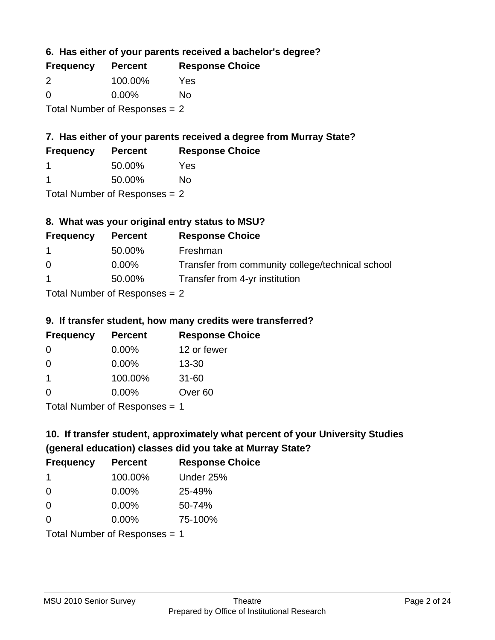**6. Has either of your parents received a bachelor's degree?**

| <b>Frequency</b> | <b>Percent</b>                  | <b>Response Choice</b> |
|------------------|---------------------------------|------------------------|
| $\mathcal{P}$    | 100.00%                         | Yes                    |
| $\Omega$         | $0.00\%$                        | Nο                     |
|                  | Total Number of Responses $= 2$ |                        |

## **7. Has either of your parents received a degree from Murray State?**

| <b>Frequency</b> | <b>Percent</b> | <b>Response Choice</b> |
|------------------|----------------|------------------------|
|                  | 50.00%         | Yes                    |
| - 1              | 50.00%         | No                     |

Total Number of Responses = 2

### **8. What was your original entry status to MSU?**

| <b>Frequency</b> | <b>Percent</b>                 | <b>Response Choice</b>                           |
|------------------|--------------------------------|--------------------------------------------------|
| $\mathbf 1$      | 50.00%                         | Freshman                                         |
| $\Omega$         | $0.00\%$                       | Transfer from community college/technical school |
| $\overline{1}$   | 50.00%                         | Transfer from 4-yr institution                   |
|                  | $Total Number of Denonese = 2$ |                                                  |

Total Number of Responses = 2

#### **9. If transfer student, how many credits were transferred?**

| <b>Frequency</b> | <b>Percent</b>                 | <b>Response Choice</b> |
|------------------|--------------------------------|------------------------|
| -0               | $0.00\%$                       | 12 or fewer            |
| 0                | $0.00\%$                       | $13 - 30$              |
| 1                | 100.00%                        | $31 - 60$              |
| $\Omega$         | $0.00\%$                       | Over <sub>60</sub>     |
|                  | Total Number of Decononces - 1 |                        |

Total Number of Responses = 1

# **10. If transfer student, approximately what percent of your University Studies (general education) classes did you take at Murray State?**

| <b>Frequency</b> | <b>Percent</b>                | <b>Response Choice</b> |
|------------------|-------------------------------|------------------------|
| -1               | 100.00%                       | Under 25%              |
| $\Omega$         | $0.00\%$                      | 25-49%                 |
| $\Omega$         | 0.00%                         | 50-74%                 |
| $\Omega$         | 0.00%                         | 75-100%                |
|                  | Total Number of Responses = 1 |                        |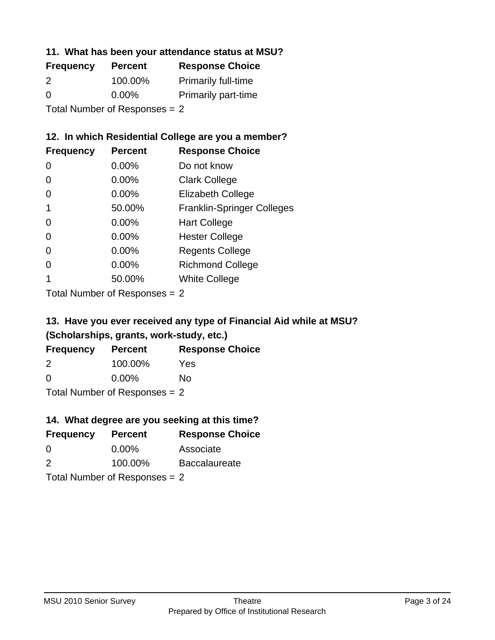#### **11. What has been your attendance status at MSU?**

| <b>Frequency</b> | <b>Percent</b>                  | <b>Response Choice</b>     |
|------------------|---------------------------------|----------------------------|
| 2                | 100.00%                         | <b>Primarily full-time</b> |
| $\Omega$         | $0.00\%$                        | <b>Primarily part-time</b> |
|                  | Total Number of Responses = $2$ |                            |

# **12. In which Residential College are you a member?**

| <b>Frequency</b> | <b>Percent</b> | <b>Response Choice</b>            |
|------------------|----------------|-----------------------------------|
| 0                | 0.00%          | Do not know                       |
| 0                | 0.00%          | <b>Clark College</b>              |
| O                | 0.00%          | <b>Elizabeth College</b>          |
| 1                | 50.00%         | <b>Franklin-Springer Colleges</b> |
| 0                | $0.00\%$       | <b>Hart College</b>               |
| 0                | 0.00%          | <b>Hester College</b>             |
| 0                | 0.00%          | <b>Regents College</b>            |
| 0                | 0.00%          | <b>Richmond College</b>           |
|                  | 50.00%         | <b>White College</b>              |
|                  |                |                                   |

Total Number of Responses = 2

## **13. Have you ever received any type of Financial Aid while at MSU? (Scholarships, grants, work-study, etc.)**

| <b>Frequency</b>                | <b>Percent</b> | <b>Response Choice</b> |
|---------------------------------|----------------|------------------------|
| 2                               | 100.00%        | Yes                    |
| $\Omega$                        | $0.00\%$       | Nο                     |
| Total Number of Responses $= 2$ |                |                        |

#### **14. What degree are you seeking at this time?**

| <b>Frequency</b> | <b>Percent</b>                  | <b>Response Choice</b> |
|------------------|---------------------------------|------------------------|
| 0                | $0.00\%$                        | Associate              |
| $\mathcal{P}$    | 100.00%                         | <b>Baccalaureate</b>   |
|                  | Total Number of Responses $= 2$ |                        |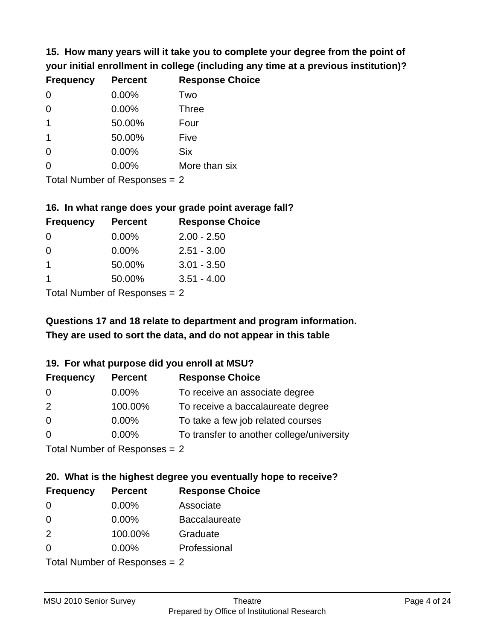**15. How many years will it take you to complete your degree from the point of your initial enrollment in college (including any time at a previous institution)?**

| <b>Frequency</b> | <b>Percent</b> | <b>Response Choice</b> |
|------------------|----------------|------------------------|
| $\Omega$         | $0.00\%$       | Two                    |
| 0                | 0.00%          | <b>Three</b>           |
| 1                | 50.00%         | Four                   |
| 1                | 50.00%         | Five                   |
| $\Omega$         | 0.00%          | <b>Six</b>             |
| 0                | 0.00%          | More than six          |
|                  |                |                        |

Total Number of Responses = 2

#### **16. In what range does your grade point average fall?**

| <b>Frequency</b> | <b>Percent</b>              | <b>Response Choice</b> |
|------------------|-----------------------------|------------------------|
| -0               | $0.00\%$                    | $2.00 - 2.50$          |
| $\Omega$         | 0.00%                       | $2.51 - 3.00$          |
|                  | 50.00%                      | $3.01 - 3.50$          |
|                  | 50.00%                      | $3.51 - 4.00$          |
|                  | Tatal Massakan af Dagmannar |                        |

Total Number of Responses = 2

# **They are used to sort the data, and do not appear in this table Questions 17 and 18 relate to department and program information.**

### **19. For what purpose did you enroll at MSU?**

| <b>Frequency</b> | <b>Percent</b>              | <b>Response Choice</b>                    |
|------------------|-----------------------------|-------------------------------------------|
| 0                | $0.00\%$                    | To receive an associate degree            |
| 2                | 100.00%                     | To receive a baccalaureate degree         |
| $\overline{0}$   | $0.00\%$                    | To take a few job related courses         |
| $\Omega$         | 0.00%                       | To transfer to another college/university |
|                  | Total Number of Despanses 2 |                                           |

I otal Number of Responses = 2

# **20. What is the highest degree you eventually hope to receive?**

| <b>Frequency</b> | <b>Percent</b>                  | <b>Response Choice</b> |
|------------------|---------------------------------|------------------------|
| 0                | 0.00%                           | Associate              |
| $\overline{0}$   | $0.00\%$                        | <b>Baccalaureate</b>   |
| 2                | 100.00%                         | Graduate               |
| $\Omega$         | $0.00\%$                        | Professional           |
|                  | Total Number of Responses $= 2$ |                        |

MSU 2010 Senior Survey **Theatre**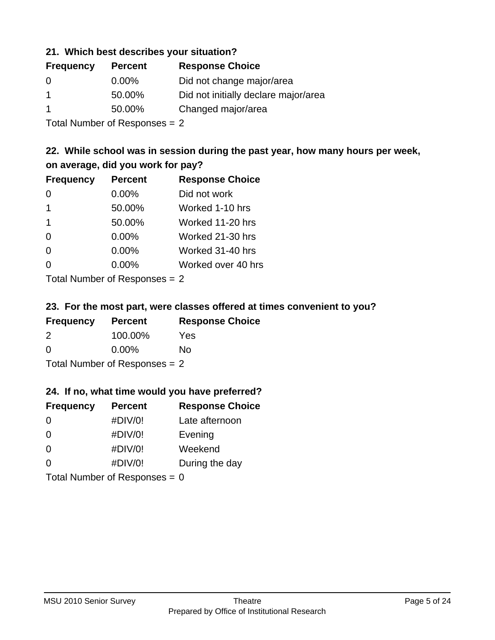#### **21. Which best describes your situation?**

| <b>Frequency</b> | <b>Percent</b> | <b>Response Choice</b>               |
|------------------|----------------|--------------------------------------|
| $\Omega$         | $0.00\%$       | Did not change major/area            |
|                  | 50.00%         | Did not initially declare major/area |
|                  | 50.00%         | Changed major/area                   |

Total Number of Responses = 2

### **22. While school was in session during the past year, how many hours per week, on average, did you work for pay?**

| <b>Frequency</b> | <b>Percent</b> | <b>Response Choice</b> |
|------------------|----------------|------------------------|
| $\Omega$         | 0.00%          | Did not work           |
| $\mathbf 1$      | 50.00%         | Worked 1-10 hrs        |
| $\mathbf 1$      | 50.00%         | Worked 11-20 hrs       |
| $\Omega$         | 0.00%          | Worked 21-30 hrs       |
| $\Omega$         | 0.00%          | Worked 31-40 hrs       |
| $\Omega$         | 0.00%          | Worked over 40 hrs     |
|                  |                |                        |

Total Number of Responses = 2

#### **23. For the most part, were classes offered at times convenient to you?**

| <b>Frequency</b>                | <b>Percent</b> | <b>Response Choice</b> |
|---------------------------------|----------------|------------------------|
| 2                               | 100.00%        | Yes                    |
| $\Omega$                        | $0.00\%$       | No                     |
| Total Number of Responses $= 2$ |                |                        |

#### **24. If no, what time would you have preferred?**

| <b>Frequency</b>                | <b>Percent</b> | <b>Response Choice</b> |
|---------------------------------|----------------|------------------------|
| $\Omega$                        | #DIV/0!        | Late afternoon         |
| $\Omega$                        | #DIV/0!        | Evening                |
| $\Omega$                        | #DIV/0!        | Weekend                |
| $\Omega$                        | #DIV/0!        | During the day         |
| Total Number of Responses = $0$ |                |                        |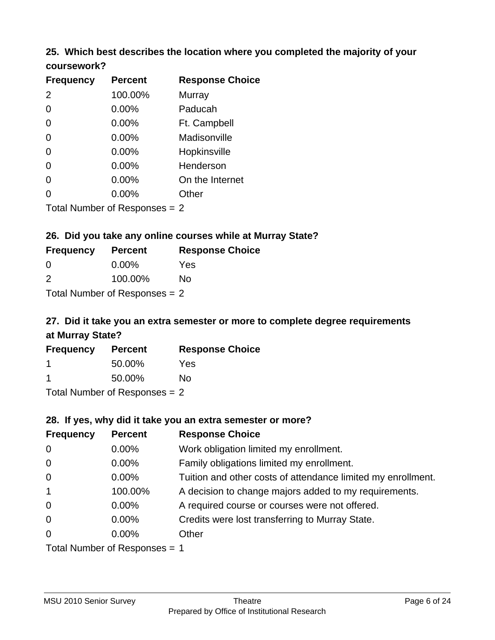### **25. Which best describes the location where you completed the majority of your coursework?**

| <b>Frequency</b> | <b>Percent</b>                  | <b>Response Choice</b> |
|------------------|---------------------------------|------------------------|
| 2                | 100.00%                         | Murray                 |
| 0                | 0.00%                           | Paducah                |
| 0                | 0.00%                           | Ft. Campbell           |
| 0                | 0.00%                           | Madisonville           |
| 0                | 0.00%                           | Hopkinsville           |
| 0                | 0.00%                           | Henderson              |
| 0                | 0.00%                           | On the Internet        |
| 0                | 0.00%                           | Other                  |
|                  | Total Number of Responses $= 2$ |                        |

#### **26. Did you take any online courses while at Murray State?**

| <b>Frequency</b> | <b>Percent</b>                  | <b>Response Choice</b> |
|------------------|---------------------------------|------------------------|
| - 0              | $0.00\%$                        | Yes                    |
| $\mathcal{P}$    | 100.00%                         | No                     |
|                  | Total Number of Responses $= 2$ |                        |

## **27. Did it take you an extra semester or more to complete degree requirements at Murray State?**

| <b>Frequency</b><br><b>Percent</b> |                            | <b>Response Choice</b> |  |  |
|------------------------------------|----------------------------|------------------------|--|--|
|                                    | 50.00%                     | Yes                    |  |  |
|                                    | 50.00%                     | Nο                     |  |  |
|                                    | Tatal Number of Desperance |                        |  |  |

Total Number of Responses = 2

#### **28. If yes, why did it take you an extra semester or more?**

| <b>Frequency</b>                | <b>Percent</b> | <b>Response Choice</b>                                       |  |
|---------------------------------|----------------|--------------------------------------------------------------|--|
| $\mathbf 0$                     | $0.00\%$       | Work obligation limited my enrollment.                       |  |
| $\mathbf 0$                     | $0.00\%$       | Family obligations limited my enrollment.                    |  |
| $\mathbf 0$                     | $0.00\%$       | Tuition and other costs of attendance limited my enrollment. |  |
| $\mathbf{1}$                    | 100.00%        | A decision to change majors added to my requirements.        |  |
| $\mathbf 0$                     | $0.00\%$       | A required course or courses were not offered.               |  |
| $\mathbf 0$                     | $0.00\%$       | Credits were lost transferring to Murray State.              |  |
| $\mathbf 0$                     | $0.00\%$       | Other                                                        |  |
| Total Number of Responses $= 1$ |                |                                                              |  |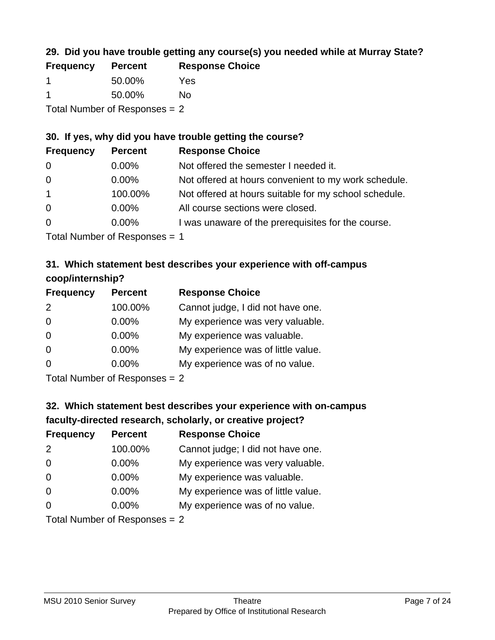### **29. Did you have trouble getting any course(s) you needed while at Murray State?**

| <b>Frequency</b> | <b>Percent</b>                | <b>Response Choice</b> |
|------------------|-------------------------------|------------------------|
|                  | 50.00%                        | Yes                    |
|                  | 50.00%                        | Nο                     |
|                  | Total Number of Responses = 2 |                        |

#### **30. If yes, why did you have trouble getting the course?**

| <b>Frequency</b> | <b>Percent</b> | <b>Response Choice</b>                                |
|------------------|----------------|-------------------------------------------------------|
| $\overline{0}$   | $0.00\%$       | Not offered the semester I needed it.                 |
| $\overline{0}$   | $0.00\%$       | Not offered at hours convenient to my work schedule.  |
| $\overline{1}$   | 100.00%        | Not offered at hours suitable for my school schedule. |
| $\overline{0}$   | $0.00\%$       | All course sections were closed.                      |
| $\overline{0}$   | $0.00\%$       | I was unaware of the prerequisites for the course.    |
|                  |                |                                                       |

Total Number of Responses = 1

### **31. Which statement best describes your experience with off-campus coop/internship?**

| <b>Frequency</b> | <b>Percent</b> | <b>Response Choice</b>             |
|------------------|----------------|------------------------------------|
| 2                | 100.00%        | Cannot judge, I did not have one.  |
| $\Omega$         | 0.00%          | My experience was very valuable.   |
| $\Omega$         | 0.00%          | My experience was valuable.        |
| $\Omega$         | 0.00%          | My experience was of little value. |
| $\Omega$         | 0.00%          | My experience was of no value.     |
|                  |                |                                    |

Total Number of Responses = 2

# **32. Which statement best describes your experience with on-campus faculty-directed research, scholarly, or creative project?**

| <b>Frequency</b> | <b>Percent</b>                 | <b>Response Choice</b>             |
|------------------|--------------------------------|------------------------------------|
| 2                | 100.00%                        | Cannot judge; I did not have one.  |
| $\overline{0}$   | $0.00\%$                       | My experience was very valuable.   |
| $\Omega$         | $0.00\%$                       | My experience was valuable.        |
| $\Omega$         | $0.00\%$                       | My experience was of little value. |
| $\Omega$         | $0.00\%$                       | My experience was of no value.     |
|                  | $Total Number of Denonone = 2$ |                                    |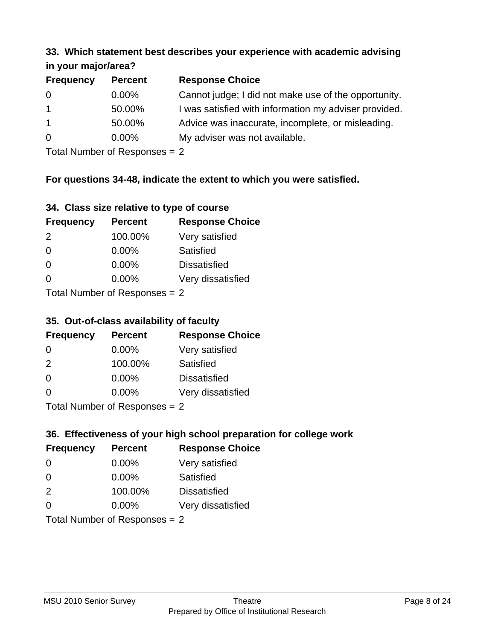#### **33. Which statement best describes your experience with academic advising in your major/area?**

| $\cdots$ your mapping out |                |                                                       |
|---------------------------|----------------|-------------------------------------------------------|
| <b>Frequency</b>          | <b>Percent</b> | <b>Response Choice</b>                                |
| 0                         | $0.00\%$       | Cannot judge; I did not make use of the opportunity.  |
| $\mathbf{1}$              | 50.00%         | I was satisfied with information my adviser provided. |
| $\mathbf{1}$              | 50.00%         | Advice was inaccurate, incomplete, or misleading.     |
| $\overline{0}$            | $0.00\%$       | My adviser was not available.                         |
|                           |                |                                                       |

Total Number of Responses = 2

### **For questions 34-48, indicate the extent to which you were satisfied.**

| 34. Class size relative to type of course |  |  |  |  |  |  |  |  |
|-------------------------------------------|--|--|--|--|--|--|--|--|
|-------------------------------------------|--|--|--|--|--|--|--|--|

| <b>Frequency</b> | <b>Percent</b>                 | <b>Response Choice</b> |
|------------------|--------------------------------|------------------------|
| $\mathcal{P}$    | 100.00%                        | Very satisfied         |
| $\Omega$         | 0.00%                          | <b>Satisfied</b>       |
| $\Omega$         | 0.00%                          | <b>Dissatisfied</b>    |
| $\Omega$         | $0.00\%$                       | Very dissatisfied      |
|                  | Total Number of Poenonces $-2$ |                        |

Total Number of Responses  $= 2$ 

#### **35. Out-of-class availability of faculty**

| <b>Frequency</b>          | <b>Percent</b> | <b>Response Choice</b> |  |
|---------------------------|----------------|------------------------|--|
| $\Omega$                  | $0.00\%$       | Very satisfied         |  |
| $\mathcal{P}$             | 100.00%        | Satisfied              |  |
| $\Omega$                  | $0.00\%$       | <b>Dissatisfied</b>    |  |
| $\Omega$                  | 0.00%          | Very dissatisfied      |  |
| Total Number of Deepensee |                |                        |  |

Total Number of Responses = 2

## **36. Effectiveness of your high school preparation for college work**

| <b>Frequency</b> | <b>Percent</b>                | <b>Response Choice</b> |
|------------------|-------------------------------|------------------------|
| $\Omega$         | $0.00\%$                      | Very satisfied         |
| $\Omega$         | $0.00\%$                      | Satisfied              |
| 2                | 100.00%                       | <b>Dissatisfied</b>    |
| $\Omega$         | $0.00\%$                      | Very dissatisfied      |
|                  | Total Number of Responses = 2 |                        |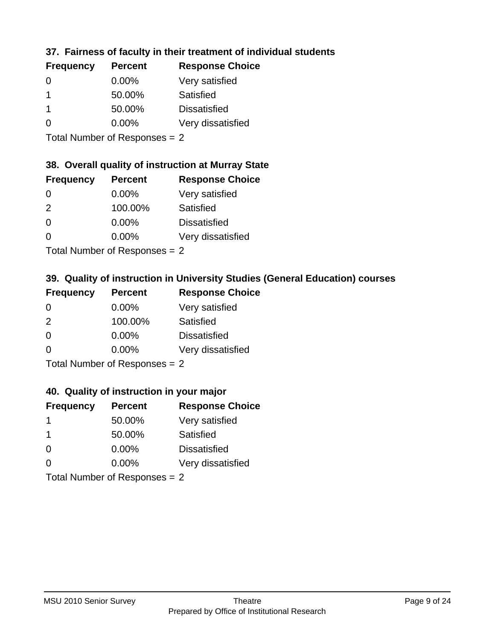### **37. Fairness of faculty in their treatment of individual students**

| <b>Frequency</b> | <b>Percent</b> | <b>Response Choice</b> |
|------------------|----------------|------------------------|
| $\Omega$         | 0.00%          | Very satisfied         |
|                  | 50.00%         | Satisfied              |
| -1               | 50.00%         | <b>Dissatisfied</b>    |
| $\Omega$         | $0.00\%$       | Very dissatisfied      |
|                  |                |                        |

Total Number of Responses = 2

#### **38. Overall quality of instruction at Murray State**

| <b>Frequency</b> | <b>Percent</b> | <b>Response Choice</b> |
|------------------|----------------|------------------------|
| 0                | $0.00\%$       | Very satisfied         |
| $\mathcal{P}$    | 100.00%        | Satisfied              |
| $\Omega$         | $0.00\%$       | <b>Dissatisfied</b>    |
| ∩                | 0.00%          | Very dissatisfied      |
|                  |                |                        |

Total Number of Responses = 2

## **39. Quality of instruction in University Studies (General Education) courses**

| <b>Frequency</b> | <b>Percent</b>            | <b>Response Choice</b> |
|------------------|---------------------------|------------------------|
| $\Omega$         | $0.00\%$                  | Very satisfied         |
| $\mathcal{P}$    | 100.00%                   | Satisfied              |
| $\Omega$         | 0.00%                     | <b>Dissatisfied</b>    |
| $\Omega$         | 0.00%                     | Very dissatisfied      |
|                  | Total Number of Deepersee |                        |

Total Number of Responses = 2

#### **40. Quality of instruction in your major**

| <b>Frequency</b>          | <b>Percent</b> | <b>Response Choice</b> |
|---------------------------|----------------|------------------------|
|                           | 50.00%         | Very satisfied         |
| -1                        | 50.00%         | Satisfied              |
| $\Omega$                  | $0.00\%$       | <b>Dissatisfied</b>    |
| $\Omega$                  | $0.00\%$       | Very dissatisfied      |
| Total Number of Despanses |                |                        |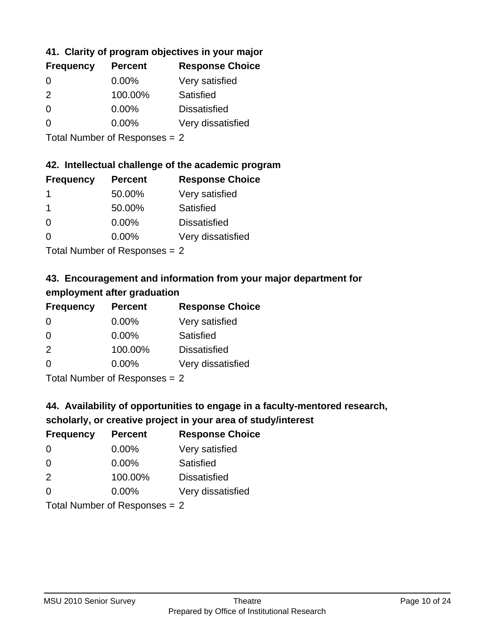### **41. Clarity of program objectives in your major**

| <b>Frequency</b> | <b>Percent</b> | <b>Response Choice</b> |
|------------------|----------------|------------------------|
| 0                | $0.00\%$       | Very satisfied         |
| $\mathcal{P}$    | 100.00%        | Satisfied              |
| $\Omega$         | 0.00%          | <b>Dissatisfied</b>    |
| $\Omega$         | 0.00%          | Very dissatisfied      |
|                  |                |                        |

Total Number of Responses = 2

#### **42. Intellectual challenge of the academic program**

| <b>Frequency</b> | <b>Percent</b> | <b>Response Choice</b> |
|------------------|----------------|------------------------|
|                  | 50.00%         | Very satisfied         |
|                  | 50.00%         | Satisfied              |
| $\Omega$         | $0.00\%$       | <b>Dissatisfied</b>    |
| O                | $0.00\%$       | Very dissatisfied      |
|                  |                |                        |

Total Number of Responses = 2

## **43. Encouragement and information from your major department for employment after graduation**

| <b>Frequency</b> | <b>Percent</b>             | <b>Response Choice</b> |
|------------------|----------------------------|------------------------|
| 0                | $0.00\%$                   | Very satisfied         |
| 0                | $0.00\%$                   | Satisfied              |
| 2                | 100.00%                    | <b>Dissatisfied</b>    |
| $\Omega$         | 0.00%                      | Very dissatisfied      |
|                  | Total Number of Desperance |                        |

Total Number of Responses = 2

### **44. Availability of opportunities to engage in a faculty-mentored research,**

#### **scholarly, or creative project in your area of study/interest**

| <b>Frequency</b> | <b>Percent</b> | <b>Response Choice</b> |
|------------------|----------------|------------------------|
| $\Omega$         | $0.00\%$       | Very satisfied         |
| $\Omega$         | $0.00\%$       | Satisfied              |
| 2                | 100.00%        | <b>Dissatisfied</b>    |
| $\Omega$         | 0.00%          | Very dissatisfied      |
|                  |                |                        |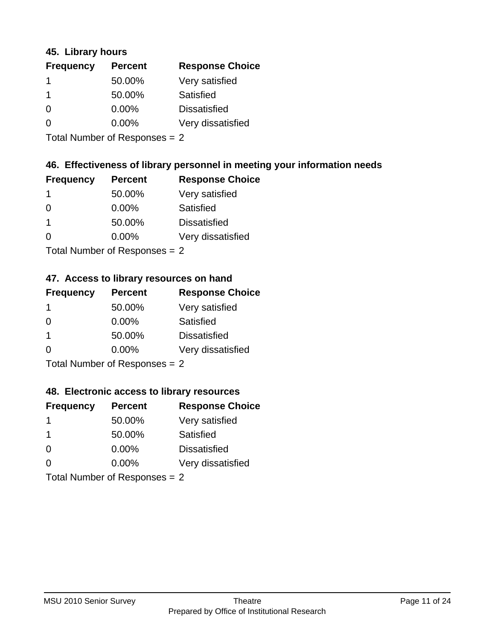#### **45. Library hours**

| <b>Frequency</b> | <b>Percent</b> | <b>Response Choice</b> |
|------------------|----------------|------------------------|
|                  | 50.00%         | Very satisfied         |
|                  | 50.00%         | Satisfied              |
| $\Omega$         | $0.00\%$       | <b>Dissatisfied</b>    |
| $\Omega$         | $0.00\%$       | Very dissatisfied      |
|                  |                |                        |

Total Number of Responses = 2

### **46. Effectiveness of library personnel in meeting your information needs**

| <b>Frequency</b> | <b>Percent</b> | <b>Response Choice</b> |
|------------------|----------------|------------------------|
|                  | 50.00%         | Very satisfied         |
| $\Omega$         | $0.00\%$       | Satisfied              |
|                  | 50.00%         | <b>Dissatisfied</b>    |
| ∩                | $0.00\%$       | Very dissatisfied      |
|                  |                |                        |

Total Number of Responses = 2

### **47. Access to library resources on hand**

| <b>Frequency</b> | <b>Percent</b>            | <b>Response Choice</b> |
|------------------|---------------------------|------------------------|
|                  | 50.00%                    | Very satisfied         |
| $\Omega$         | $0.00\%$                  | Satisfied              |
| -1               | 50.00%                    | <b>Dissatisfied</b>    |
| $\Omega$         | 0.00%                     | Very dissatisfied      |
|                  | Total Number of Deepensee |                        |

Total Number of Responses = 2

#### **48. Electronic access to library resources**

| <b>Frequency</b>              | <b>Percent</b> | <b>Response Choice</b> |
|-------------------------------|----------------|------------------------|
|                               | 50.00%         | Very satisfied         |
| -1                            | 50.00%         | Satisfied              |
| $\Omega$                      | $0.00\%$       | <b>Dissatisfied</b>    |
| $\Omega$                      | 0.00%          | Very dissatisfied      |
| $Total Number of Denonce = 2$ |                |                        |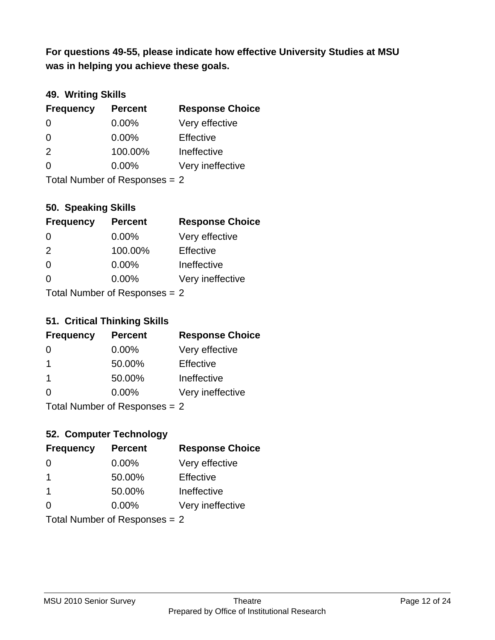**was in helping you achieve these goals. For questions 49-55, please indicate how effective University Studies at MSU** 

### **49. Writing Skills**

| <b>Frequency</b>              | <b>Percent</b> | <b>Response Choice</b> |
|-------------------------------|----------------|------------------------|
| $\Omega$                      | $0.00\%$       | Very effective         |
| $\Omega$                      | 0.00%          | Effective              |
| 2                             | 100.00%        | Ineffective            |
| $\Omega$                      | $0.00\%$       | Very ineffective       |
| Total Number of Responses = 2 |                |                        |

**50. Speaking Skills**

| <b>Frequency</b>              | <b>Percent</b> | <b>Response Choice</b> |
|-------------------------------|----------------|------------------------|
| $\Omega$                      | 0.00%          | Very effective         |
| $\mathcal{P}$                 | 100.00%        | Effective              |
| $\Omega$                      | 0.00%          | Ineffective            |
| ∩                             | 0.00%          | Very ineffective       |
| $Total Number of Denonce - 2$ |                |                        |

Total Number of Responses = 2

### **51. Critical Thinking Skills**

| <b>Frequency</b>               | <b>Percent</b> | <b>Response Choice</b> |
|--------------------------------|----------------|------------------------|
| $\Omega$                       | $0.00\%$       | Very effective         |
| -1                             | 50.00%         | Effective              |
| $\mathbf 1$                    | 50.00%         | Ineffective            |
| $\Omega$                       | 0.00%          | Very ineffective       |
| $Total Number of Denonone = 2$ |                |                        |

Total Number of Responses = 2

### **52. Computer Technology**

| <b>Frequency</b>                | <b>Percent</b> | <b>Response Choice</b> |
|---------------------------------|----------------|------------------------|
| $\Omega$                        | $0.00\%$       | Very effective         |
| $\mathbf 1$                     | 50.00%         | Effective              |
| $\mathbf 1$                     | 50.00%         | Ineffective            |
| $\Omega$                        | $0.00\%$       | Very ineffective       |
| Total Number of Responses = $2$ |                |                        |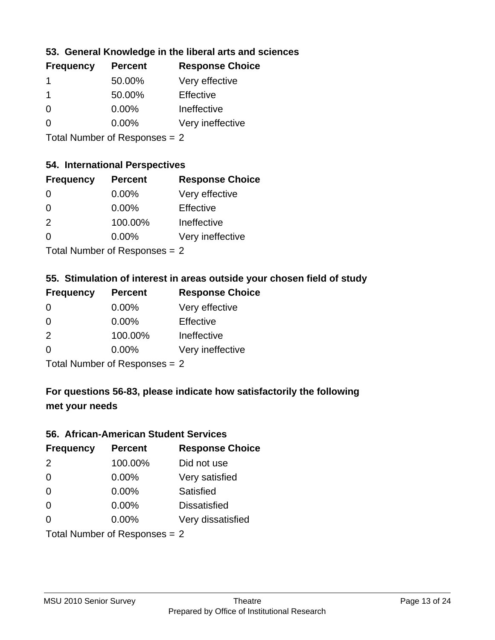### **53. General Knowledge in the liberal arts and sciences**

| <b>Frequency</b> | <b>Percent</b> | <b>Response Choice</b> |
|------------------|----------------|------------------------|
|                  | 50.00%         | Very effective         |
|                  | 50.00%         | Effective              |
| $\Omega$         | $0.00\%$       | Ineffective            |
| ∩                | 0.00%          | Very ineffective       |
|                  |                |                        |

Total Number of Responses = 2

### **54. International Perspectives**

| <b>Frequency</b> | <b>Percent</b> | <b>Response Choice</b> |
|------------------|----------------|------------------------|
| $\Omega$         | $0.00\%$       | Very effective         |
| $\Omega$         | 0.00%          | Effective              |
| $\mathcal{P}$    | 100.00%        | Ineffective            |
| 0                | 0.00%          | Very ineffective       |
|                  |                |                        |

Total Number of Responses = 2

## **55. Stimulation of interest in areas outside your chosen field of study**

| <b>Frequency</b>                | <b>Percent</b> | <b>Response Choice</b> |
|---------------------------------|----------------|------------------------|
| $\Omega$                        | 0.00%          | Very effective         |
| $\Omega$                        | $0.00\%$       | Effective              |
| 2                               | 100.00%        | Ineffective            |
| $\Omega$                        | $0.00\%$       | Very ineffective       |
| Total Number of Responses $= 2$ |                |                        |

**For questions 56-83, please indicate how satisfactorily the following**

#### **met your needs**

#### **56. African-American Student Services**

| <b>Frequency</b> | <b>Percent</b>                  | <b>Response Choice</b> |
|------------------|---------------------------------|------------------------|
| 2                | 100.00%                         | Did not use            |
| $\Omega$         | 0.00%                           | Very satisfied         |
| $\Omega$         | 0.00%                           | Satisfied              |
| $\Omega$         | $0.00\%$                        | <b>Dissatisfied</b>    |
| $\Omega$         | 0.00%                           | Very dissatisfied      |
|                  | Total Number of Responses = $2$ |                        |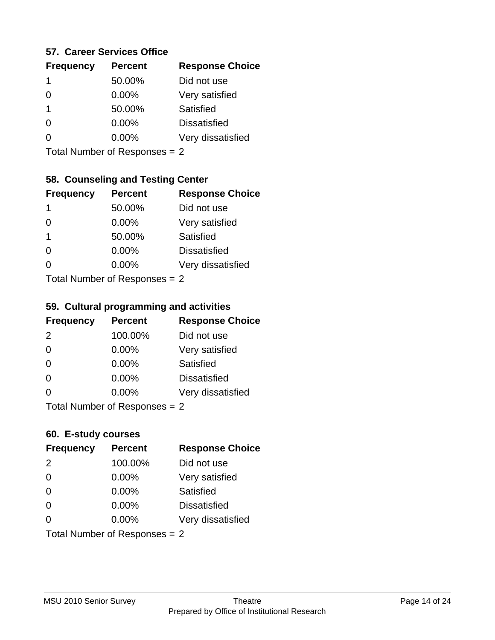#### **57. Career Services Office**

| <b>Frequency</b> | <b>Percent</b> | <b>Response Choice</b> |
|------------------|----------------|------------------------|
| 1                | 50.00%         | Did not use            |
|                  | $0.00\%$       | Very satisfied         |
|                  | 50.00%         | Satisfied              |
|                  | $0.00\%$       | <b>Dissatisfied</b>    |
|                  | $0.00\%$       | Very dissatisfied      |
|                  |                |                        |

Total Number of Responses = 2

## **58. Counseling and Testing Center**

| <b>Frequency</b>          | <b>Percent</b> | <b>Response Choice</b> |
|---------------------------|----------------|------------------------|
| 1                         | 50.00%         | Did not use            |
| 0                         | 0.00%          | Very satisfied         |
| 1                         | 50.00%         | <b>Satisfied</b>       |
| 0                         | 0.00%          | <b>Dissatisfied</b>    |
| ∩                         | 0.00%          | Very dissatisfied      |
| Total Number of Desponses |                |                        |

Total Number of Responses = 2

#### **59. Cultural programming and activities**

| <b>Frequency</b> | <b>Percent</b>                | <b>Response Choice</b> |
|------------------|-------------------------------|------------------------|
| 2                | 100.00%                       | Did not use            |
| $\Omega$         | 0.00%                         | Very satisfied         |
| $\Omega$         | 0.00%                         | Satisfied              |
| $\Omega$         | $0.00\%$                      | <b>Dissatisfied</b>    |
| $\Omega$         | $0.00\%$                      | Very dissatisfied      |
|                  | Total Number of Responses = 2 |                        |

### **60. E-study courses**

| <b>Frequency</b> | <b>Percent</b>                  | <b>Response Choice</b> |
|------------------|---------------------------------|------------------------|
| 2                | 100.00%                         | Did not use            |
| $\Omega$         | 0.00%                           | Very satisfied         |
| $\Omega$         | 0.00%                           | Satisfied              |
| $\Omega$         | 0.00%                           | <b>Dissatisfied</b>    |
| $\Omega$         | 0.00%                           | Very dissatisfied      |
|                  | Total Number of Responses $= 2$ |                        |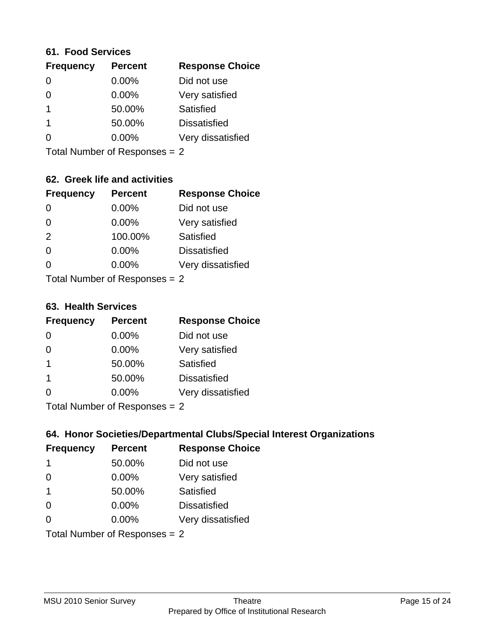#### **61. Food Services**

| <b>Frequency</b> | <b>Percent</b> | <b>Response Choice</b> |
|------------------|----------------|------------------------|
| ∩                | 0.00%          | Did not use            |
| 0                | 0.00%          | Very satisfied         |
|                  | 50.00%         | Satisfied              |
|                  | 50.00%         | <b>Dissatisfied</b>    |
|                  | $0.00\%$       | Very dissatisfied      |
|                  |                |                        |

Total Number of Responses = 2

### **62. Greek life and activities**

| <b>Frequency</b>                | <b>Percent</b> | <b>Response Choice</b> |
|---------------------------------|----------------|------------------------|
|                                 | 0.00%          | Did not use            |
| 0                               | 0.00%          | Very satisfied         |
| 2                               | 100.00%        | Satisfied              |
| $\Omega$                        | 0.00%          | <b>Dissatisfied</b>    |
|                                 | 0.00%          | Very dissatisfied      |
| Total Number of Responses $= 2$ |                |                        |

#### **63. Health Services**

| <b>Frequency</b>          | <b>Percent</b> | <b>Response Choice</b> |
|---------------------------|----------------|------------------------|
| 0                         | 0.00%          | Did not use            |
| $\Omega$                  | $0.00\%$       | Very satisfied         |
| -1                        | 50.00%         | Satisfied              |
| -1                        | 50.00%         | <b>Dissatisfied</b>    |
| $\Omega$                  | $0.00\%$       | Very dissatisfied      |
| Total Number of Desponses |                |                        |

Total Number of Responses = 2

### **64. Honor Societies/Departmental Clubs/Special Interest Organizations**

| <b>Frequency</b>              | <b>Percent</b> | <b>Response Choice</b> |
|-------------------------------|----------------|------------------------|
| $\mathbf 1$                   | 50.00%         | Did not use            |
| $\Omega$                      | $0.00\%$       | Very satisfied         |
| $\overline{\mathbf{1}}$       | 50.00%         | Satisfied              |
| $\Omega$                      | 0.00%          | <b>Dissatisfied</b>    |
| $\Omega$                      | 0.00%          | Very dissatisfied      |
| Total Number of Responses = 2 |                |                        |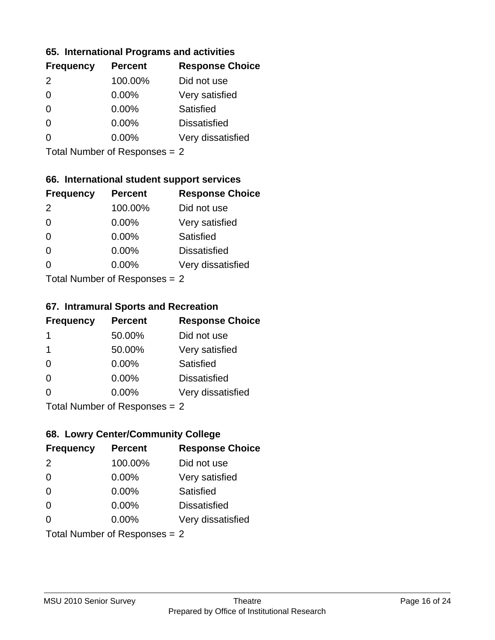#### **65. International Programs and activities**

| <b>Frequency</b> | <b>Percent</b> | <b>Response Choice</b> |
|------------------|----------------|------------------------|
| $\mathcal{P}$    | 100.00%        | Did not use            |
| 0                | $0.00\%$       | Very satisfied         |
| 0                | $0.00\%$       | Satisfied              |
|                  | $0.00\%$       | <b>Dissatisfied</b>    |
|                  | $0.00\%$       | Very dissatisfied      |
|                  |                |                        |

Total Number of Responses = 2

### **66. International student support services**

| <b>Frequency</b>          | <b>Percent</b> | <b>Response Choice</b> |
|---------------------------|----------------|------------------------|
| 2                         | 100.00%        | Did not use            |
| $\Omega$                  | 0.00%          | Very satisfied         |
| $\Omega$                  | $0.00\%$       | <b>Satisfied</b>       |
| $\Omega$                  | 0.00%          | <b>Dissatisfied</b>    |
| 0                         | $0.00\%$       | Very dissatisfied      |
| Total Number of DoEROR 0. |                |                        |

Total Number of Responses = 2

#### **67. Intramural Sports and Recreation**

| <b>Frequency</b>              | <b>Percent</b> | <b>Response Choice</b> |
|-------------------------------|----------------|------------------------|
| 1                             | 50.00%         | Did not use            |
| $\overline{1}$                | 50.00%         | Very satisfied         |
| $\Omega$                      | $0.00\%$       | Satisfied              |
| $\Omega$                      | $0.00\%$       | <b>Dissatisfied</b>    |
| 0                             | $0.00\%$       | Very dissatisfied      |
| $Total Number of Denonce = 2$ |                |                        |

I otal Number of Responses = 2

### **68. Lowry Center/Community College**

| <b>Frequency</b>              | <b>Percent</b> | <b>Response Choice</b> |
|-------------------------------|----------------|------------------------|
| 2                             | 100.00%        | Did not use            |
| $\Omega$                      | 0.00%          | Very satisfied         |
| $\Omega$                      | 0.00%          | Satisfied              |
| $\Omega$                      | 0.00%          | <b>Dissatisfied</b>    |
| $\Omega$                      | $0.00\%$       | Very dissatisfied      |
| Total Number of Responses = 2 |                |                        |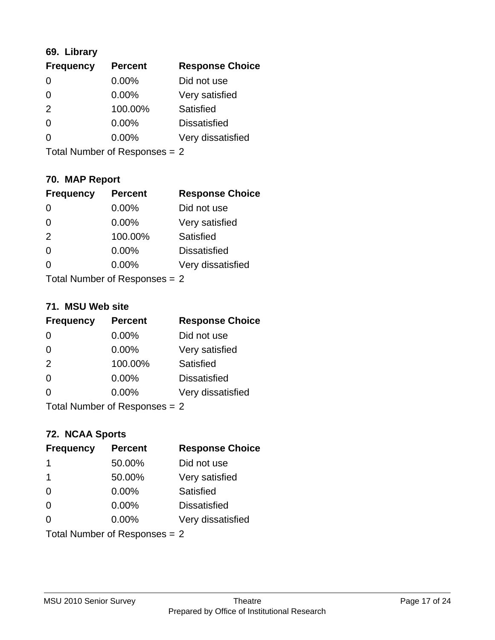### **69. Library**

| <b>Frequency</b> | <b>Percent</b> | <b>Response Choice</b> |
|------------------|----------------|------------------------|
| 0                | 0.00%          | Did not use            |
| 0                | $0.00\%$       | Very satisfied         |
| $\mathcal{P}$    | 100.00%        | Satisfied              |
| $\Omega$         | $0.00\%$       | <b>Dissatisfied</b>    |
| O                | $0.00\%$       | Very dissatisfied      |
|                  |                |                        |

Total Number of Responses = 2

### **70. MAP Report**

| <b>Frequency</b>              | <b>Percent</b> | <b>Response Choice</b> |
|-------------------------------|----------------|------------------------|
|                               | 0.00%          | Did not use            |
| 0                             | 0.00%          | Very satisfied         |
| 2                             | 100.00%        | <b>Satisfied</b>       |
| $\Omega$                      | 0.00%          | <b>Dissatisfied</b>    |
| 0                             | $0.00\%$       | Very dissatisfied      |
| Total Number of Responses = 2 |                |                        |

#### **71. MSU Web site**

| <b>Frequency</b>                | <b>Percent</b> | <b>Response Choice</b> |
|---------------------------------|----------------|------------------------|
| $\Omega$                        | $0.00\%$       | Did not use            |
| $\Omega$                        | 0.00%          | Very satisfied         |
| 2                               | 100.00%        | Satisfied              |
| $\Omega$                        | 0.00%          | <b>Dissatisfied</b>    |
| ∩                               | 0.00%          | Very dissatisfied      |
| Total Number of Responses $= 2$ |                |                        |

### **72. NCAA Sports**

| <b>Frequency</b>                | <b>Percent</b> | <b>Response Choice</b> |
|---------------------------------|----------------|------------------------|
| 1                               | 50.00%         | Did not use            |
| -1                              | 50.00%         | Very satisfied         |
| $\Omega$                        | 0.00%          | Satisfied              |
| $\Omega$                        | 0.00%          | <b>Dissatisfied</b>    |
| $\Omega$                        | 0.00%          | Very dissatisfied      |
| Total Number of Responses $= 2$ |                |                        |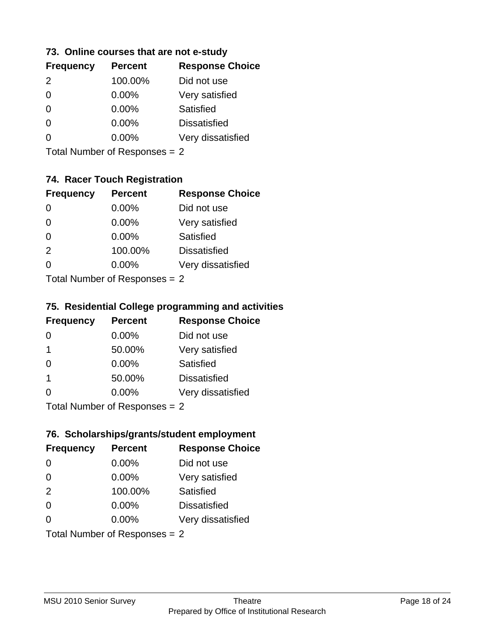#### **73. Online courses that are not e-study**

| <b>Frequency</b> | <b>Percent</b> | <b>Response Choice</b> |
|------------------|----------------|------------------------|
| $\mathcal{P}$    | 100.00%        | Did not use            |
| 0                | $0.00\%$       | Very satisfied         |
| 0                | $0.00\%$       | Satisfied              |
|                  | $0.00\%$       | <b>Dissatisfied</b>    |
|                  | $0.00\%$       | Very dissatisfied      |
|                  |                |                        |

Total Number of Responses = 2

## **74. Racer Touch Registration**

| <b>Frequency</b>          | <b>Percent</b> | <b>Response Choice</b> |
|---------------------------|----------------|------------------------|
| $\Omega$                  | 0.00%          | Did not use            |
| $\Omega$                  | 0.00%          | Very satisfied         |
| $\Omega$                  | $0.00\%$       | Satisfied              |
| 2                         | 100.00%        | <b>Dissatisfied</b>    |
| 0                         | $0.00\%$       | Very dissatisfied      |
| Total Number of DoEROR 0. |                |                        |

Total Number of Responses = 2

#### **75. Residential College programming and activities**

| <b>Frequency</b>               | <b>Percent</b> | <b>Response Choice</b> |
|--------------------------------|----------------|------------------------|
| 0                              | $0.00\%$       | Did not use            |
| -1                             | 50.00%         | Very satisfied         |
| $\Omega$                       | $0.00\%$       | Satisfied              |
| -1                             | 50.00%         | <b>Dissatisfied</b>    |
| $\Omega$                       | $0.00\%$       | Very dissatisfied      |
| Total Number of Decreases $-2$ |                |                        |

I otal Number of Responses = 2

### **76. Scholarships/grants/student employment**

| <b>Frequency</b>              | <b>Percent</b> | <b>Response Choice</b> |
|-------------------------------|----------------|------------------------|
| 0                             | 0.00%          | Did not use            |
| $\Omega$                      | 0.00%          | Very satisfied         |
| 2                             | 100.00%        | Satisfied              |
| $\Omega$                      | 0.00%          | <b>Dissatisfied</b>    |
| $\Omega$                      | 0.00%          | Very dissatisfied      |
| Total Number of Responses = 2 |                |                        |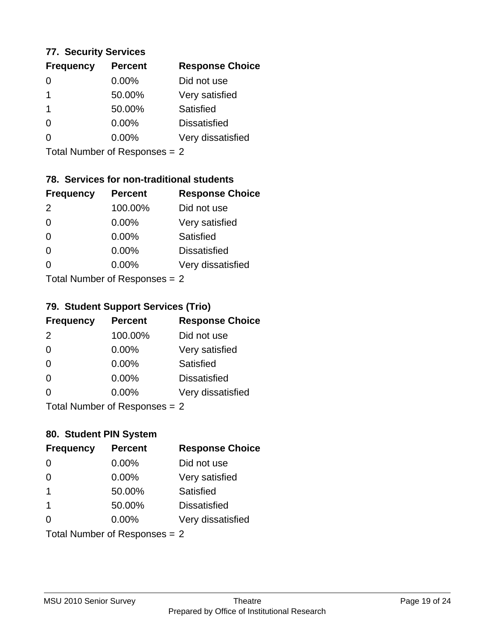# **77. Security Services**

| <b>Frequency</b> | <b>Percent</b> | <b>Response Choice</b> |
|------------------|----------------|------------------------|
| 0                | $0.00\%$       | Did not use            |
|                  | 50.00%         | Very satisfied         |
|                  | 50.00%         | Satisfied              |
| 0                | $0.00\%$       | <b>Dissatisfied</b>    |
|                  | $0.00\%$       | Very dissatisfied      |
|                  |                |                        |

Total Number of Responses = 2

### **78. Services for non-traditional students**

| <b>Frequency</b>          | <b>Percent</b> | <b>Response Choice</b> |
|---------------------------|----------------|------------------------|
| 2                         | 100.00%        | Did not use            |
| $\Omega$                  | 0.00%          | Very satisfied         |
| $\Omega$                  | 0.00%          | Satisfied              |
| $\Omega$                  | 0.00%          | <b>Dissatisfied</b>    |
| $\Omega$                  | 0.00%          | Very dissatisfied      |
| Total Number of DoEROR 0. |                |                        |

Total Number of Responses = 2

### **79. Student Support Services (Trio)**

| <b>Frequency</b>           | <b>Percent</b> | <b>Response Choice</b> |
|----------------------------|----------------|------------------------|
| 2                          | 100.00%        | Did not use            |
| $\Omega$                   | 0.00%          | Very satisfied         |
| $\Omega$                   | 0.00%          | <b>Satisfied</b>       |
| $\Omega$                   | 0.00%          | <b>Dissatisfied</b>    |
| $\Omega$                   | 0.00%          | Very dissatisfied      |
| Total Number of Denonone – |                |                        |

I otal Number of Responses = 2

### **80. Student PIN System**

| <b>Frequency</b>              | <b>Percent</b> | <b>Response Choice</b> |
|-------------------------------|----------------|------------------------|
| 0                             | 0.00%          | Did not use            |
| $\Omega$                      | 0.00%          | Very satisfied         |
| -1                            | 50.00%         | Satisfied              |
| $\overline{\mathbf{1}}$       | 50.00%         | <b>Dissatisfied</b>    |
| ∩                             | $0.00\%$       | Very dissatisfied      |
| Total Number of Responses = 2 |                |                        |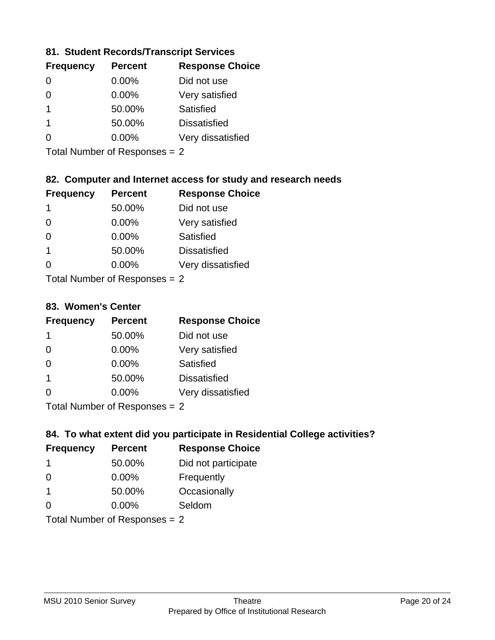### **81. Student Records/Transcript Services**

| <b>Frequency</b> | <b>Percent</b> | <b>Response Choice</b> |
|------------------|----------------|------------------------|
| 0                | 0.00%          | Did not use            |
| 0                | 0.00%          | Very satisfied         |
| 1                | 50.00%         | Satisfied              |
| 1                | 50.00%         | <b>Dissatisfied</b>    |
|                  | $0.00\%$       | Very dissatisfied      |

Total Number of Responses = 2

### **82. Computer and Internet access for study and research needs**

| <b>Frequency</b>           | <b>Percent</b> | <b>Response Choice</b> |  |
|----------------------------|----------------|------------------------|--|
| 1                          | 50.00%         | Did not use            |  |
| 0                          | 0.00%          | Very satisfied         |  |
| $\Omega$                   | 0.00%          | Satisfied              |  |
| 1                          | 50.00%         | <b>Dissatisfied</b>    |  |
| O                          | $0.00\%$       | Very dissatisfied      |  |
| Tatal Number of Desperance |                |                        |  |

Total Number of Responses = 2

#### **83. Women's Center**

| <b>Frequency</b>           | <b>Percent</b> | <b>Response Choice</b> |
|----------------------------|----------------|------------------------|
| -1                         | 50.00%         | Did not use            |
| $\Omega$                   | $0.00\%$       | Very satisfied         |
| $\Omega$                   | $0.00\%$       | Satisfied              |
| $\overline{1}$             | 50.00%         | <b>Dissatisfied</b>    |
| ∩                          | $0.00\%$       | Very dissatisfied      |
| Total Number of Deepersoon |                |                        |

Total Number of Responses = 2

### **84. To what extent did you participate in Residential College activities?**

| <b>Frequency</b> | <b>Percent</b>                | <b>Response Choice</b> |
|------------------|-------------------------------|------------------------|
| -1               | 50.00%                        | Did not participate    |
| $\Omega$         | 0.00%                         | Frequently             |
| $\overline{1}$   | 50.00%                        | Occasionally           |
| 0                | $0.00\%$                      | Seldom                 |
|                  | Total Number of Responses = 2 |                        |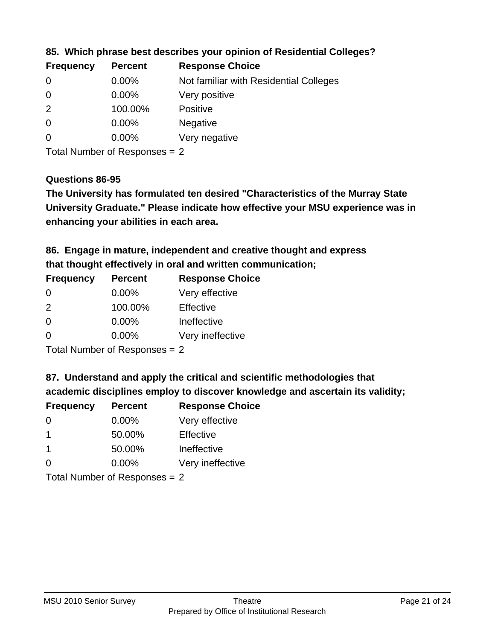| <b>Frequency</b> | <b>Percent</b> | <b>Response Choice</b>                 |
|------------------|----------------|----------------------------------------|
| 0                | $0.00\%$       | Not familiar with Residential Colleges |
| $\overline{0}$   | $0.00\%$       | Very positive                          |
| -2               | 100.00%        | Positive                               |
| 0                | $0.00\%$       | <b>Negative</b>                        |
| $\overline{0}$   | 0.00%          | Very negative                          |
|                  |                |                                        |

**85. Which phrase best describes your opinion of Residential Colleges?**

Total Number of Responses = 2

#### **Questions 86-95**

**University Graduate." Please indicate how effective your MSU experience was in The University has formulated ten desired "Characteristics of the Murray State enhancing your abilities in each area.**

**86. Engage in mature, independent and creative thought and express that thought effectively in oral and written communication;**

| <b>Percent</b> | <b>Response Choice</b> |
|----------------|------------------------|
| $0.00\%$       | Very effective         |
| 100.00%        | Effective              |
| $0.00\%$       | Ineffective            |
| $0.00\%$       | Very ineffective       |
|                |                        |

Total Number of Responses = 2

**87. Understand and apply the critical and scientific methodologies that** 

**academic disciplines employ to discover knowledge and ascertain its validity;**

| <b>Frequency</b> | <b>Percent</b>                                                                                                 | <b>Response Choice</b> |
|------------------|----------------------------------------------------------------------------------------------------------------|------------------------|
| 0                | 0.00%                                                                                                          | Very effective         |
| $\overline{1}$   | 50.00%                                                                                                         | Effective              |
| $\mathbf 1$      | 50.00%                                                                                                         | Ineffective            |
| $\Omega$         | 0.00%                                                                                                          | Very ineffective       |
|                  | The INDIAN Contract Contract in the Contract of Contract of Contract of Contract of Contract of Contract of Co |                        |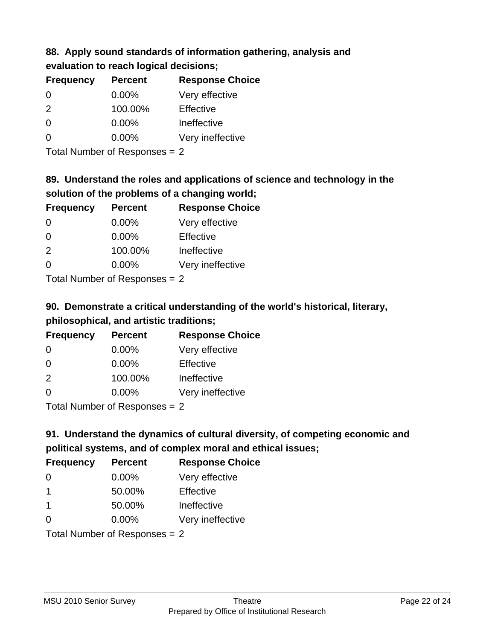#### **88. Apply sound standards of information gathering, analysis and evaluation to reach logical decisions;**

| <b>Percent</b> | <b>Response Choice</b> |  |
|----------------|------------------------|--|
| $0.00\%$       | Very effective         |  |
| 100.00%        | Effective              |  |
| 0.00%          | Ineffective            |  |
| 0.00%          | Very ineffective       |  |
|                |                        |  |

Total Number of Responses = 2

# **89. Understand the roles and applications of science and technology in the solution of the problems of a changing world;**

| <b>Frequency</b> | <b>Percent</b>             | <b>Response Choice</b> |
|------------------|----------------------------|------------------------|
| $\Omega$         | $0.00\%$                   | Very effective         |
| $\Omega$         | 0.00%                      | Effective              |
| 2                | 100.00%                    | Ineffective            |
| $\Omega$         | 0.00%                      | Very ineffective       |
|                  | Tetal Number of Desperance |                        |

Total Number of Responses = 2

# **90. Demonstrate a critical understanding of the world's historical, literary, philosophical, and artistic traditions;**

| <b>Frequency</b> | <b>Percent</b> | <b>Response Choice</b> |
|------------------|----------------|------------------------|
| 0                | 0.00%          | Very effective         |
| $\Omega$         | 0.00%          | Effective              |
| 2                | 100.00%        | Ineffective            |
| ∩                | 0.00%          | Very ineffective       |
|                  |                |                        |

Total Number of Responses = 2

# **91. Understand the dynamics of cultural diversity, of competing economic and political systems, and of complex moral and ethical issues;**

| <b>Frequency</b>     | <b>Percent</b>                  | <b>Response Choice</b> |
|----------------------|---------------------------------|------------------------|
| $\Omega$             | $0.00\%$                        | Very effective         |
| $\mathbf 1$          | 50.00%                          | Effective              |
| $\blacktriangleleft$ | 50.00%                          | Ineffective            |
| $\Omega$             | $0.00\%$                        | Very ineffective       |
|                      | Total Number of Responses $= 2$ |                        |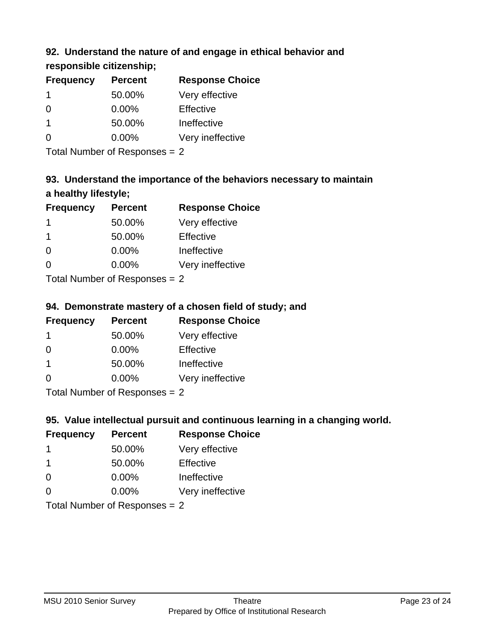## **92. Understand the nature of and engage in ethical behavior and**

## **responsible citizenship;**

| <b>Frequency</b> | <b>Percent</b> | <b>Response Choice</b> |
|------------------|----------------|------------------------|
|                  | 50.00%         | Very effective         |
| 0                | $0.00\%$       | Effective              |
|                  | 50.00%         | Ineffective            |
| O                | 0.00%          | Very ineffective       |
|                  |                |                        |

Total Number of Responses = 2

# **93. Understand the importance of the behaviors necessary to maintain a healthy lifestyle;**

| <b>Frequency</b> | <b>Percent</b>                                                | <b>Response Choice</b> |
|------------------|---------------------------------------------------------------|------------------------|
|                  | 50.00%                                                        | Very effective         |
| -1               | 50.00%                                                        | Effective              |
| $\Omega$         | 0.00%                                                         | Ineffective            |
| $\Omega$         | 0.00%                                                         | Very ineffective       |
|                  | $\tau$ and $\tau$ and $\tau$ and $\tau$ and $\tau$ and $\tau$ |                        |

Total Number of Responses = 2

### **94. Demonstrate mastery of a chosen field of study; and**

| <b>Frequency</b> | <b>Percent</b> | <b>Response Choice</b> |
|------------------|----------------|------------------------|
|                  | 50.00%         | Very effective         |
| $\Omega$         | $0.00\%$       | Effective              |
|                  | 50.00%         | Ineffective            |
| $\Omega$         | $0.00\%$       | Very ineffective       |
|                  |                |                        |

Total Number of Responses = 2

### **95. Value intellectual pursuit and continuous learning in a changing world.**

| <b>Frequency</b> | <b>Percent</b>            | <b>Response Choice</b> |
|------------------|---------------------------|------------------------|
|                  | 50.00%                    | Very effective         |
| -1               | 50.00%                    | Effective              |
| $\Omega$         | 0.00%                     | Ineffective            |
| $\Omega$         | 0.00%                     | Very ineffective       |
|                  | Total Number of Deepensee |                        |